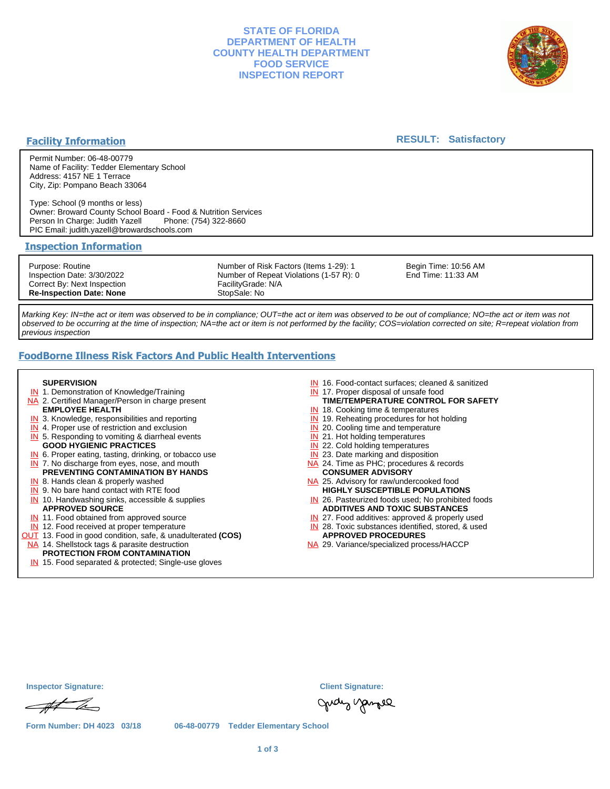## **STATE OF FLORIDA DEPARTMENT OF HEALTH COUNTY HEALTH DEPARTMENT FOOD SERVICE INSPECTION REPORT**



## **Facility Information**

## **RESULT: Satisfactory**

Permit Number: 06-48-00779 Name of Facility: Tedder Elementary School Address: 4157 NE 1 Terrace City, Zip: Pompano Beach 33064

Type: School (9 months or less) Owner: Broward County School Board - Food & Nutrition Services Person In Charge: Judith Yazell PIC Email: judith.yazell@browardschools.com

## **Inspection Information**

Purpose: Routine Inspection Date: 3/30/2022 Correct By: Next Inspection **Re-Inspection Date: None**

Number of Risk Factors (Items 1-29): 1 Number of Repeat Violations (1-57 R): 0 FacilityGrade: N/A StopSale: No

Begin Time: 10:56 AM End Time: 11:33 AM

Marking Key: IN=the act or item was observed to be in compliance; OUT=the act or item was observed to be out of compliance; NO=the act or item was not observed to be occurring at the time of inspection; NA=the act or item is not performed by the facility; COS=violation corrected on site; R=repeat violation from previous inspection

# **FoodBorne Illness Risk Factors And Public Health Interventions**

#### **SUPERVISION**

- **IN** 1. Demonstration of Knowledge/Training
- NA 2. Certified Manager/Person in charge present **EMPLOYEE HEALTH**
- **IN** 3. Knowledge, responsibilities and reporting
- **IN** 4. Proper use of restriction and exclusion
- **IN** 5. Responding to vomiting & diarrheal events
- **GOOD HYGIENIC PRACTICES**
- **IN** 6. Proper eating, tasting, drinking, or tobacco use **IN** 7. No discharge from eyes, nose, and mouth
- **PREVENTING CONTAMINATION BY HANDS**
- IN 8. Hands clean & properly washed
- **IN** 9. No bare hand contact with RTE food IN 10. Handwashing sinks, accessible & supplies **APPROVED SOURCE**
- **IN** 11. Food obtained from approved source
- **IN** 12. Food received at proper temperature
- OUT 13. Food in good condition, safe, & unadulterated **(COS)**
- NA 14. Shellstock tags & parasite destruction

# **PROTECTION FROM CONTAMINATION**

IN 15. Food separated & protected; Single-use gloves

- IN 16. Food-contact surfaces; cleaned & sanitized
- IN 17. Proper disposal of unsafe food
- **TIME/TEMPERATURE CONTROL FOR SAFETY**
- IN 18. Cooking time & temperatures
- **IN** 19. Reheating procedures for hot holding **IN** 20. Cooling time and temperature
- IN 21. Hot holding temperatures
- **IN** 22. Cold holding temperatures
- **IN** 23. Date marking and disposition
- NA 24. Time as PHC; procedures & records **CONSUMER ADVISORY**
- NA 25. Advisory for raw/undercooked food **HIGHLY SUSCEPTIBLE POPULATIONS**
- IN 26. Pasteurized foods used; No prohibited foods **ADDITIVES AND TOXIC SUBSTANCES**
- IN 27. Food additives: approved & properly used
- IN 28. Toxic substances identified, stored, & used **APPROVED PROCEDURES**
- NA 29. Variance/specialized process/HACCP

| <b>Inspector Signature:</b> |
|-----------------------------|
|-----------------------------|

At h

**Form Number: DH 4023 03/18 06-48-00779 Tedder Elementary School**

gudy yangel

**Inspector Signature: Client Signature:**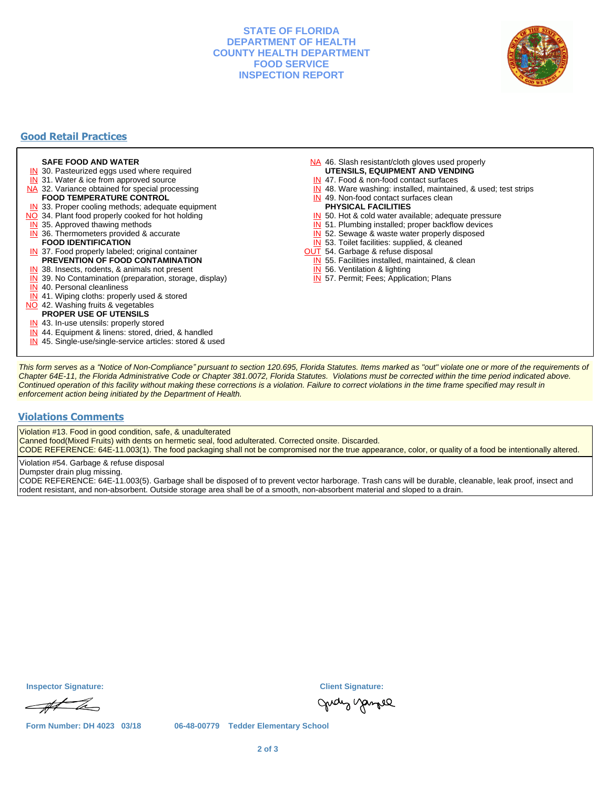## **STATE OF FLORIDA DEPARTMENT OF HEALTH COUNTY HEALTH DEPARTMENT FOOD SERVICE INSPECTION REPORT**



# **Good Retail Practices**

#### **SAFE FOOD AND WATER**

- **IN** 30. Pasteurized eggs used where required
- IN 31. Water & ice from approved source
- NA 32. Variance obtained for special processing
- **FOOD TEMPERATURE CONTROL**
- **IN** 33. Proper cooling methods; adequate equipment
- NO 34. Plant food properly cooked for hot holding
- **IN** 35. Approved thawing methods
- IN 36. Thermometers provided & accurate **FOOD IDENTIFICATION**
- IN 37. Food properly labeled; original container **PREVENTION OF FOOD CONTAMINATION**
- IN 38. Insects, rodents, & animals not present
- **IN** 39. No Contamination (preparation, storage, display)
- IN 40. Personal cleanliness
- IN 41. Wiping cloths: properly used & stored
- NO 42. Washing fruits & vegetables
- **PROPER USE OF UTENSILS**
- IN 43. In-use utensils: properly stored
- IN 44. Equipment & linens: stored, dried, & handled
- IN 45. Single-use/single-service articles: stored & used
- NA 46. Slash resistant/cloth gloves used properly
- **UTENSILS, EQUIPMENT AND VENDING**
- IN 47. Food & non-food contact surfaces
- IN 48. Ware washing: installed, maintained, & used; test strips
- IN 49. Non-food contact surfaces clean
- **PHYSICAL FACILITIES**
- IN 50. Hot & cold water available; adequate pressure
- IN 51. Plumbing installed; proper backflow devices
- IN 52. Sewage & waste water properly disposed
- IN 53. Toilet facilities: supplied, & cleaned
- **OUT** 54. Garbage & refuse disposal
	- IN 55. Facilities installed, maintained, & clean
	- IN 56. Ventilation & lighting
	- IN 57. Permit; Fees; Application; Plans

This form serves as a "Notice of Non-Compliance" pursuant to section 120.695, Florida Statutes. Items marked as "out" violate one or more of the requirements of Chapter 64E-11, the Florida Administrative Code or Chapter 381.0072, Florida Statutes. Violations must be corrected within the time period indicated above. Continued operation of this facility without making these corrections is a violation. Failure to correct violations in the time frame specified may result in enforcement action being initiated by the Department of Health.

## **Violations Comments**

Violation #13. Food in good condition, safe, & unadulterated

Canned food(Mixed Fruits) with dents on hermetic seal, food adulterated. Corrected onsite. Discarded.

CODE REFERENCE: 64E-11.003(1). The food packaging shall not be compromised nor the true appearance, color, or quality of a food be intentionally altered.

Violation #54. Garbage & refuse disposal

Dumpster drain plug missing.

CODE REFERENCE: 64E-11.003(5). Garbage shall be disposed of to prevent vector harborage. Trash cans will be durable, cleanable, leak proof, insect and rodent resistant, and non-absorbent. Outside storage area shall be of a smooth, non-absorbent material and sloped to a drain.

**Inspector Signature: Client Signature:**

At h

gudy yamee

**Form Number: DH 4023 03/18 06-48-00779 Tedder Elementary School**